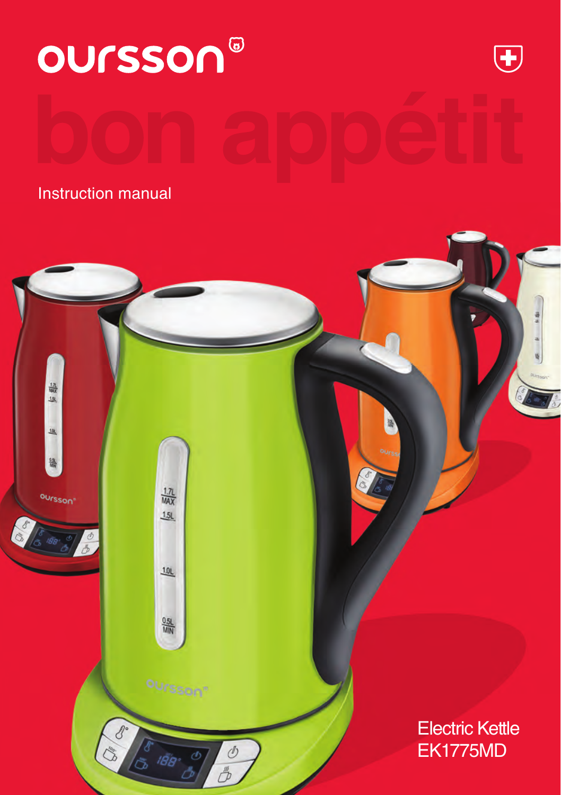

 $\frac{1.7L}{MAX}$ 

 $1.5L$ 

 $10L$ 

 $\frac{0.5L}{M/N}$ 

oursson"

låe.

 $\mathcal{O}$ 

 $\mathcal{O}$ 

 $\overline{\mathscr{E}}$  $\overline{C}$ 

oursson<sup>®</sup>

**Electric Kettle** EK1775MD

EK1775MD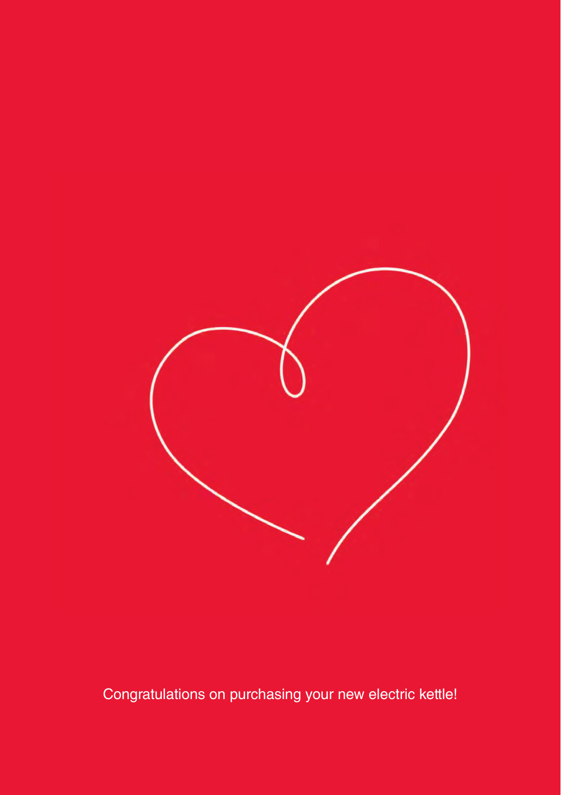

Congratulations on purchasing your new electric kettle!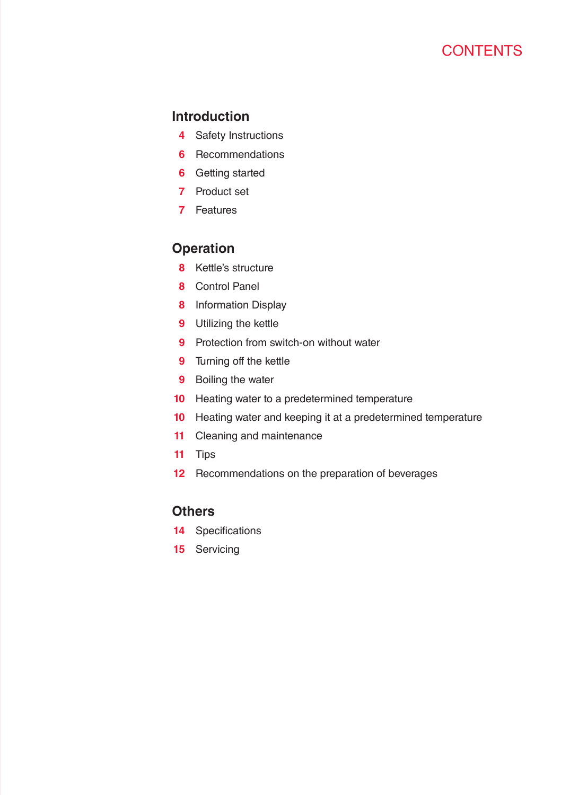### **Introduction**

- Safety Instructions
- Recommendations
- Getting started
- Product set
- Features

### **Operation**

- Kettle's structure
- Control Panel
- Information Display
- Utilizing the kettle
- Protection from switch-on without water
- Turning off the kettle
- Boiling the water
- Heating water to a predetermined temperature
- Heating water and keeping it at a predetermined temperature
- Cleaning and maintenance
- Tips
- Recommendations on the preparation of beverages

### **Others**

- Specifications
- Servicing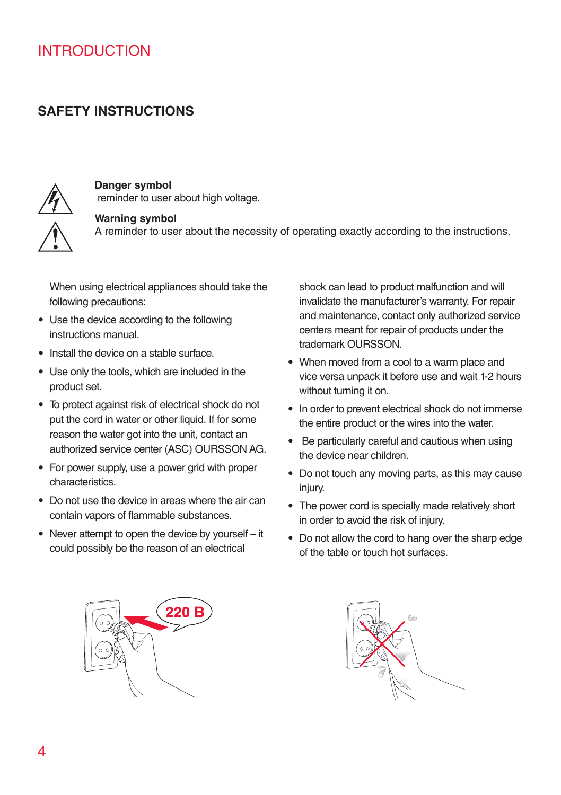### **SAFETY INSTRUCTIONS**



### **Danger symbol**

reminder to user about high voltage.

### **Warning symbol**

A reminder to user about the necessity of operating exactly according to the instructions.

When using electrical appliances should take the following precautions:

- Use the device according to the following instructions manual.
- Install the device on a stable surface.
- Use only the tools, which are included in the product set.
- To protect against risk of electrical shock do not put the cord in water or other liquid. If for some reason the water got into the unit, contact an authorized service center (ASC) OURSSON AG.
- For power supply, use a power grid with proper characteristics.
- Do not use the device in areas where the air can contain vapors of flammable substances.
- Never attempt to open the device by yourself it could possibly be the reason of an electrical

shock can lead to product malfunction and will invalidate the manufacturer's warranty. For repair and maintenance, contact only authorized service centers meant for repair of products under the trademark OURSSON.

- When moved from a cool to a warm place and vice versa unpack it before use and wait 1-2 hours without turning it on.
- In order to prevent electrical shock do not immerse the entire product or the wires into the water.
- Be particularly careful and cautious when using the device near children.
- Do not touch any moving parts, as this may cause injury.
- The power cord is specially made relatively short in order to avoid the risk of injury.
- Do not allow the cord to hang over the sharp edge of the table or touch hot surfaces.



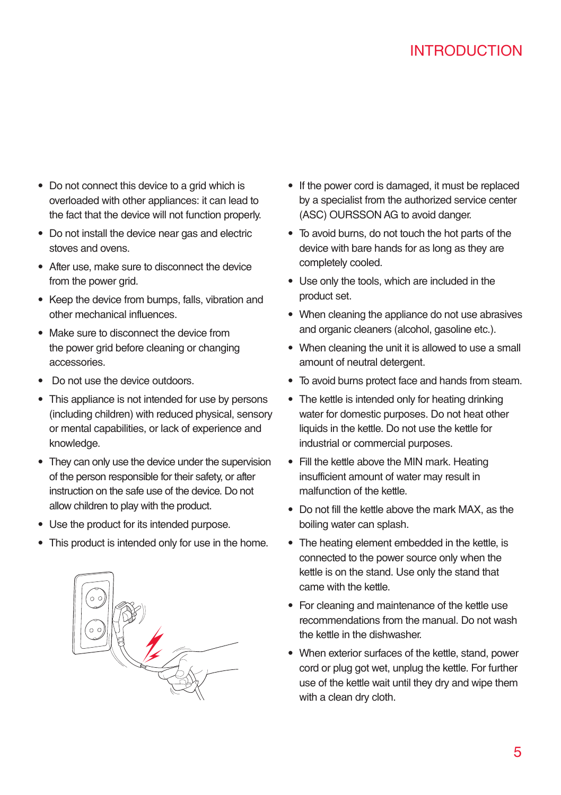- Do not connect this device to a grid which is overloaded with other appliances: it can lead to the fact that the device will not function properly.
- Do not install the device near gas and electric stoves and ovens.
- After use, make sure to disconnect the device from the power grid.
- Keep the device from bumps, falls, vibration and other mechanical influences.
- Make sure to disconnect the device from the power grid before cleaning or changing accessories.
- Do not use the device outdoors.
- This appliance is not intended for use by persons (including children) with reduced physical, sensory or mental capabilities, or lack of experience and knowledge.
- They can only use the device under the supervision of the person responsible for their safety, or after instruction on the safe use of the device. Do not allow children to play with the product.
- Use the product for its intended purpose.
- This product is intended only for use in the home.



- If the power cord is damaged, it must be replaced by a specialist from the authorized service center (ASC) OURSSON AG to avoid danger.
- To avoid burns, do not touch the hot parts of the device with bare hands for as long as they are completely cooled.
- Use only the tools, which are included in the product set.
- When cleaning the appliance do not use abrasives and organic cleaners (alcohol, gasoline etc.).
- When cleaning the unit it is allowed to use a small amount of neutral detergent.
- To avoid burns protect face and hands from steam.
- The kettle is intended only for heating drinking water for domestic purposes. Do not heat other liquids in the kettle. Do not use the kettle for industrial or commercial purposes.
- Fill the kettle above the MIN mark. Heating insufficient amount of water may result in malfunction of the kettle.
- Do not fill the kettle above the mark MAX, as the boiling water can splash.
- The heating element embedded in the kettle, is connected to the power source only when the kettle is on the stand. Use only the stand that came with the kettle.
- For cleaning and maintenance of the kettle use recommendations from the manual. Do not wash the kettle in the dishwasher.
- When exterior surfaces of the kettle, stand, power cord or plug got wet, unplug the kettle. For further use of the kettle wait until they dry and wipe them with a clean dry cloth.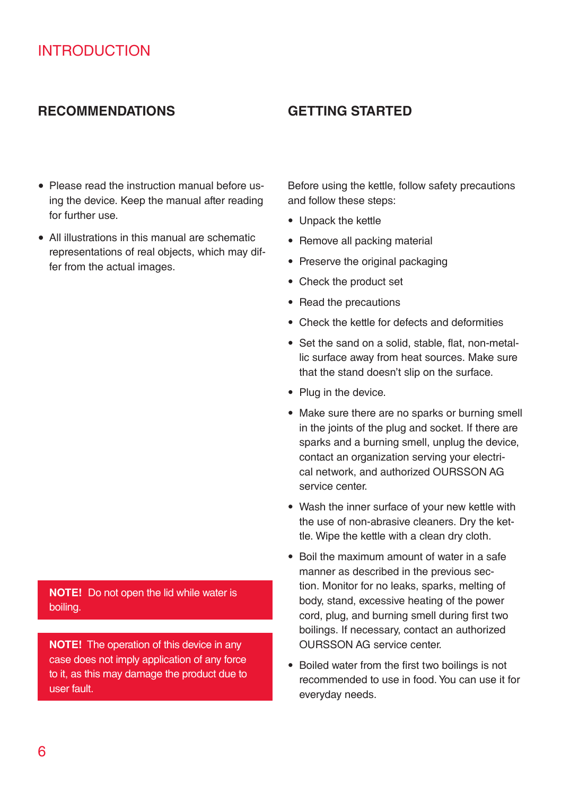### **Recommendations Getting started**

- Please read the instruction manual before using the device. Keep the manual after reading for further use.
- • All illustrations in this manual are schematic representations of real objects, which may differ from the actual images.

**NOTE!** Do not open the lid while water is boiling.

**NOTE!** The operation of this device in any case does not imply application of any force to it, as this may damage the product due to user fault.

Before using the kettle, follow safety precautions and follow these steps:

- Unpack the kettle
- Remove all packing material
- Preserve the original packaging
- Check the product set
- Read the precautions
- Check the kettle for defects and deformities
- Set the sand on a solid, stable, flat, non-metallic surface away from heat sources. Make sure that the stand doesn't slip on the surface.
- Plug in the device.
- Make sure there are no sparks or burning smell in the joints of the plug and socket. If there are sparks and a burning smell, unplug the device, contact an organization serving your electrical network, and authorized OURSSON AG service center.
- Wash the inner surface of your new kettle with the use of non-abrasive cleaners. Dry the kettle. Wipe the kettle with a clean dry cloth.
- Boil the maximum amount of water in a safe manner as described in the previous section. Monitor for no leaks, sparks, melting of body, stand, excessive heating of the power cord, plug, and burning smell during first two boilings. If necessary, contact an authorized OURSSON AG service center.
- Boiled water from the first two boilings is not recommended to use in food. You can use it for everyday needs.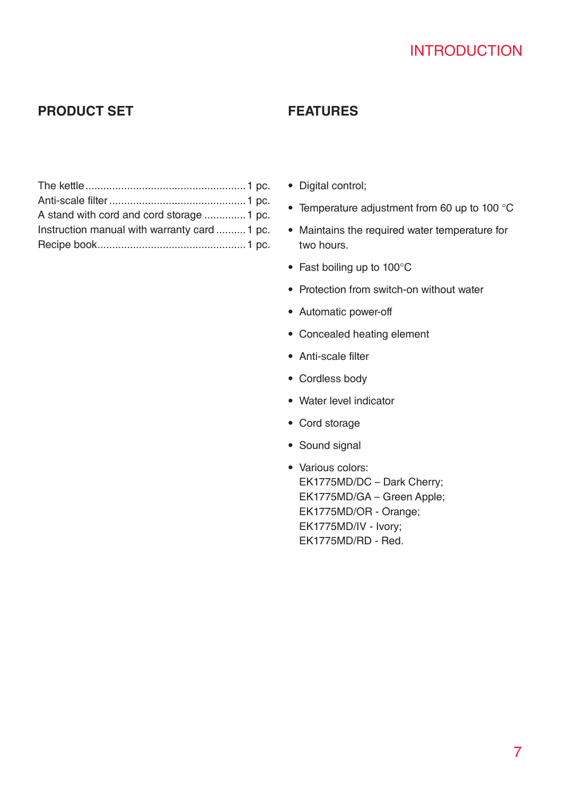### **Product set Features**

| A stand with cord and cord storage  1 pc.    |
|----------------------------------------------|
| Instruction manual with warranty card  1 pc. |
|                                              |
|                                              |

- Digital control;
- Temperature adjustment from 60 up to 100 °C
- Maintains the required water temperature for two hours.
- Fast boiling up to 100°C
- Protection from switch-on without water
- Automatic power-off
- Concealed heating element
- Anti-scale filter
- Cordless body
- Water level indicator
- Cord storage
- Sound signal
- Various colors: EK1775MD/DC – Dark Cherry; EK1775MD/GA – Green Apple; EK1775MD/OR - Orange; EK1775MD/IV - Ivory; EK1775MD/RD - Red.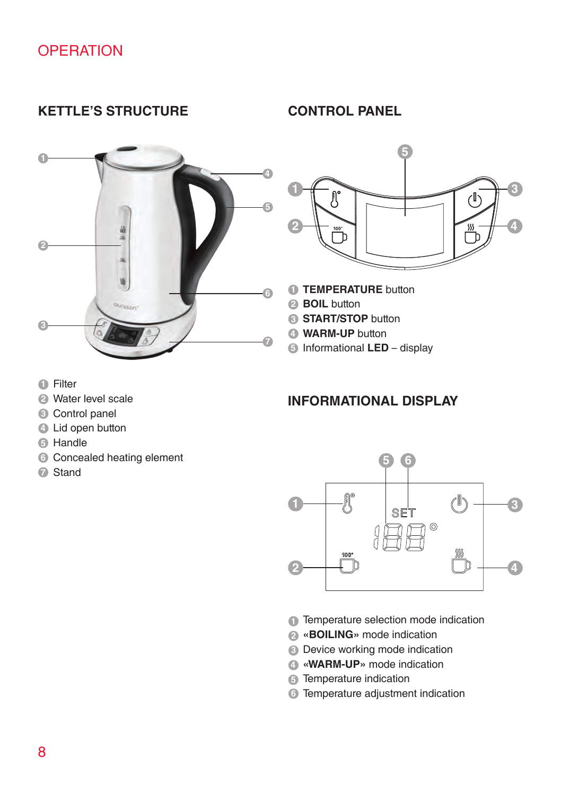### **Kettle's structure Control panel**





- **TEMPERATURE** button
- **BOIL** button
- **START/STOP** button
- **WARM-UP** button
- Informational **LED** display

- Filter
- Water level scale
- Control panel
- Lid open button
- Handle
- Concealed heating element
- Stand

### **Informational Display**



- Temperature selection mode indication
- **«BOILING»** mode indication
- Device working mode indication
- **«WARM-UP»** mode indication
- Temperature indication
- Temperature adjustment indication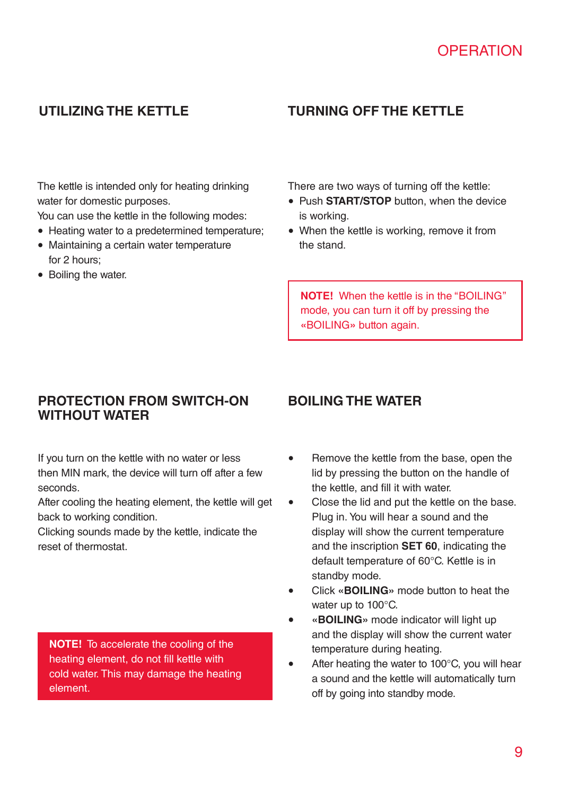## **Utilizing the kettle Turning off the kettle**

The kettle is intended only for heating drinking water for domestic purposes.

You can use the kettle in the following modes:

- Heating water to a predetermined temperature:
- Maintaining a certain water temperature for 2 hours;
- Boiling the water.

There are two ways of turning off the kettle:

- • Push **START/STOP** button, when the device is working.
- When the kettle is working, remove it from the stand.

**NOTE!** When the kettle is in the "BOILING" mode, you can turn it off by pressing the **«**BOILING**»** button again.

### **Protection from switch-on Boiling the water without water**

If you turn on the kettle with no water or less then MIN mark, the device will turn off after a few seconds.

After cooling the heating element, the kettle will get back to working condition.

Clicking sounds made by the kettle, indicate the reset of thermostat.

**NOTE!** To accelerate the cooling of the heating element, do not fill kettle with cold water. This may damage the heating element.

- Bemove the kettle from the base, open the lid by pressing the button on the handle of the kettle, and fill it with water.
- Close the lid and put the kettle on the base. Plug in. You will hear a sound and the display will show the current temperature and the inscription **SET 60**, indicating the default temperature of 60°C. Kettle is in standby mode.
- Click «**BOILING**» mode button to heat the water up to 100°C.
- **• «BOILING»** mode indicator will light up and the display will show the current water temperature during heating.
- After heating the water to  $100^{\circ}$ C, you will hear a sound and the kettle will automatically turn off by going into standby mode.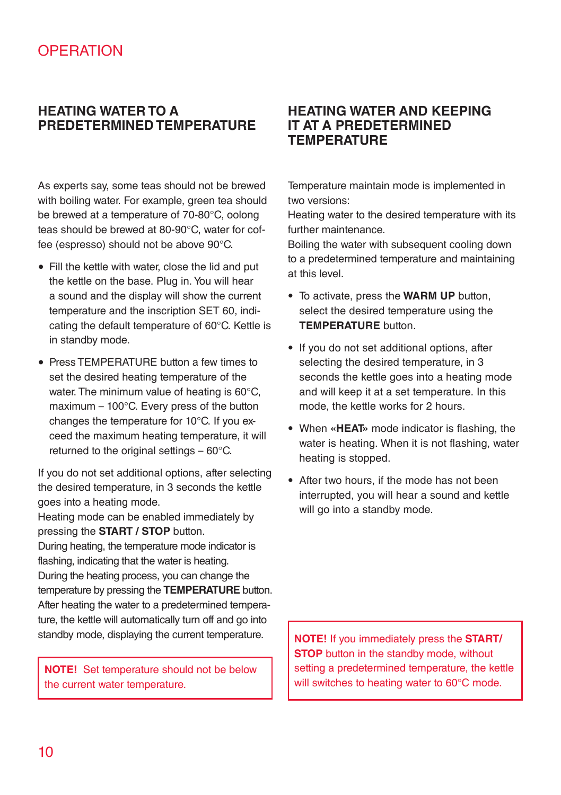### **Heating water to a predetermined temperature**

As experts say, some teas should not be brewed with boiling water. For example, green tea should be brewed at a temperature of 70-80°C, oolong teas should be brewed at 80-90°C, water for coffee (espresso) should not be above 90°C.

- Fill the kettle with water, close the lid and put the kettle on the base. Plug in. You will hear a sound and the display will show the current temperature and the inscription SET 60, indicating the default temperature of 60°C. Kettle is in standby mode.
- Press TEMPERATURE button a few times to set the desired heating temperature of the water. The minimum value of heating is 60°C, maximum – 100°C. Every press of the button changes the temperature for 10°C. If you exceed the maximum heating temperature, it will returned to the original settings – 60°C.

If you do not set additional options, after selecting the desired temperature, in 3 seconds the kettle goes into a heating mode.

Heating mode can be enabled immediately by pressing the **START / STOP** button.

During heating, the temperature mode indicator is flashing, indicating that the water is heating. During the heating process, you can change the temperature by pressing the **TEMPERATURE** button. After heating the water to a predetermined temperature, the kettle will automatically turn off and go into standby mode, displaying the current temperature.

**NOTE!** Set temperature should not be below the current water temperature.

### **Heating water and keeping it at a predetermined temperature**

Temperature maintain mode is implemented in two versions:

Heating water to the desired temperature with its further maintenance.

Boiling the water with subsequent cooling down to a predetermined temperature and maintaining at this level.

- To activate, press the **WARM UP** button, select the desired temperature using the **TEMPERATURE** button.
- If you do not set additional options, after selecting the desired temperature, in 3 seconds the kettle goes into a heating mode and will keep it at a set temperature. In this mode, the kettle works for 2 hours.
- When **«HEAT»** mode indicator is flashing, the water is heating. When it is not flashing, water heating is stopped.
- After two hours, if the mode has not been interrupted, you will hear a sound and kettle will go into a standby mode.

**NOTE!** If you immediately press the **START/ STOP** button in the standby mode, without setting a predetermined temperature, the kettle will switches to heating water to 60°C mode.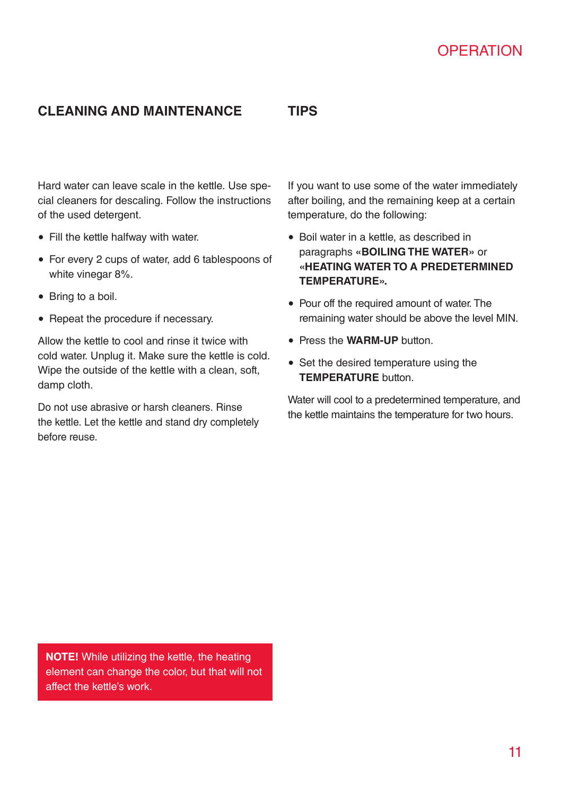### **Cleaning and maintenance**

**TIPS**

Hard water can leave scale in the kettle. Use special cleaners for descaling. Follow the instructions of the used detergent.

- • Fill the kettle halfway with water.
- For every 2 cups of water, add 6 tablespoons of white vinegar 8%.
- Bring to a boil.
- Repeat the procedure if necessary.

Allow the kettle to cool and rinse it twice with cold water. Unplug it. Make sure the kettle is cold. Wipe the outside of the kettle with a clean, soft, damp cloth.

Do not use abrasive or harsh cleaners. Rinse the kettle. Let the kettle and stand dry completely before reuse.

If you want to use some of the water immediately after boiling, and the remaining keep at a certain temperature, do the following:

- • Boil water in a kettle, as described in paragraphs **«BOILING THE WATER»** or **«HEATING WATER TO A PREDETERMINED TEMPERATURE».**
- Pour off the required amount of water. The remaining water should be above the level MIN.
- • Press the **WARM-UP** button.
- Set the desired temperature using the **TEMPERATURE** button.

Water will cool to a predetermined temperature, and the kettle maintains the temperature for two hours.

**NOTE!** While utilizing the kettle, the heating element can change the color, but that will not affect the kettle's work.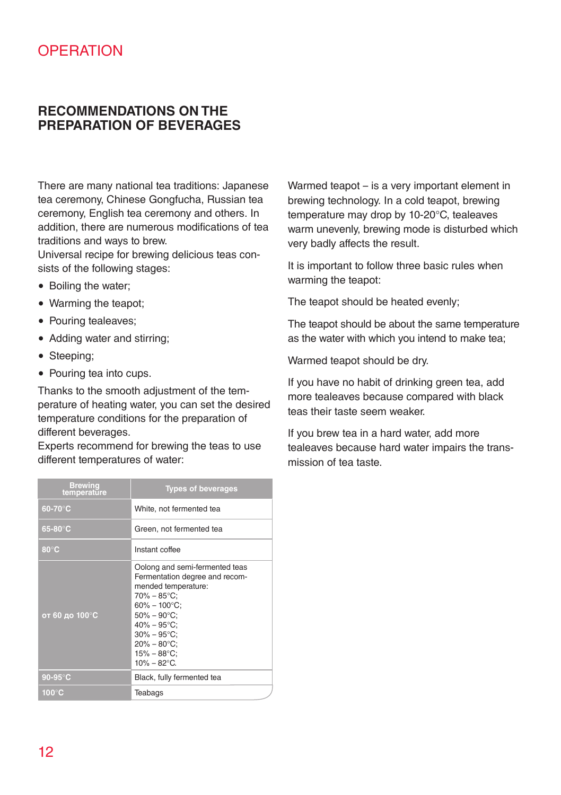### **RECOMMENDATIONS ON THE PREPARATION OF BEVERAGES**

There are many national tea traditions: Japanese tea ceremony, Chinese Gongfucha, Russian tea ceremony, English tea ceremony and others. In addition, there are numerous modifications of tea traditions and ways to brew.

Universal recipe for brewing delicious teas consists of the following stages:

- Boiling the water:
- Warming the teapot;
- Pouring tealeaves:
- Adding water and stirring;
- Steeping:
- Pouring tea into cups.

Thanks to the smooth adjustment of the temperature of heating water, you can set the desired temperature conditions for the preparation of different beverages.

Experts recommend for brewing the teas to use different temperatures of water:

| <b>Brewing</b><br>temperature | <b>Types of beverages</b>                                                                                                                                                                                                                                  |  |
|-------------------------------|------------------------------------------------------------------------------------------------------------------------------------------------------------------------------------------------------------------------------------------------------------|--|
| $60-70$ °C                    | White, not fermented tea                                                                                                                                                                                                                                   |  |
| $65-80^\circ C$               | Green, not fermented tea                                                                                                                                                                                                                                   |  |
| $80^{\circ}$ C                | Instant coffee                                                                                                                                                                                                                                             |  |
| от 60 до 100°С                | Oolong and semi-fermented teas<br>Fermentation degree and recom-<br>mended temperature:<br>70% – 85°C:<br>$60\% - 100\degree C$ :<br>$50\% - 90\degree C$ :<br>$40\% - 95$ °C:<br>$30\% - 95$ °C:<br>$20\% - 80$ °C:<br>$15\% - 88$ °C;<br>$10\% - 82$ °C. |  |
| $90-95$ °C                    | Black, fully fermented tea                                                                                                                                                                                                                                 |  |
| $100^{\circ}$ C               | Teabags                                                                                                                                                                                                                                                    |  |

Warmed teapot – is a very important element in brewing technology. In a cold teapot, brewing temperature may drop by 10-20°C, tealeaves warm unevenly, brewing mode is disturbed which very badly affects the result.

It is important to follow three basic rules when warming the teapot:

The teapot should be heated evenly;

The teapot should be about the same temperature as the water with which you intend to make tea;

Warmed teapot should be dry.

If you have no habit of drinking green tea, add more tealeaves because compared with black teas their taste seem weaker.

If you brew tea in a hard water, add more tealeaves because hard water impairs the transmission of tea taste.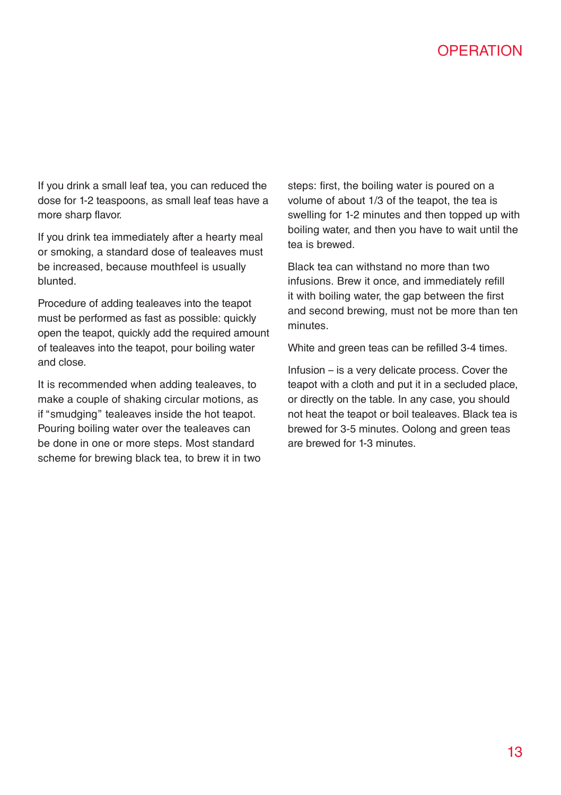If you drink a small leaf tea, you can reduced the dose for 1-2 teaspoons, as small leaf teas have a more sharp flavor.

If you drink tea immediately after a hearty meal or smoking, a standard dose of tealeaves must be increased, because mouthfeel is usually blunted.

Procedure of adding tealeaves into the teapot must be performed as fast as possible: quickly open the teapot, quickly add the required amount of tealeaves into the teapot, pour boiling water and close.

It is recommended when adding tealeaves, to make a couple of shaking circular motions, as if "smudging" tealeaves inside the hot teapot. Pouring boiling water over the tealeaves can be done in one or more steps. Most standard scheme for brewing black tea, to brew it in two steps: first, the boiling water is poured on a volume of about 1/3 of the teapot, the tea is swelling for 1-2 minutes and then topped up with boiling water, and then you have to wait until the tea is brewed.

Black tea can withstand no more than two infusions. Brew it once, and immediately refill it with boiling water, the gap between the first and second brewing, must not be more than ten minutes.

White and green teas can be refilled 3-4 times.

Infusion – is a very delicate process. Cover the teapot with a cloth and put it in a secluded place, or directly on the table. In any case, you should not heat the teapot or boil tealeaves. Black tea is brewed for 3-5 minutes. Oolong and green teas are brewed for 1-3 minutes.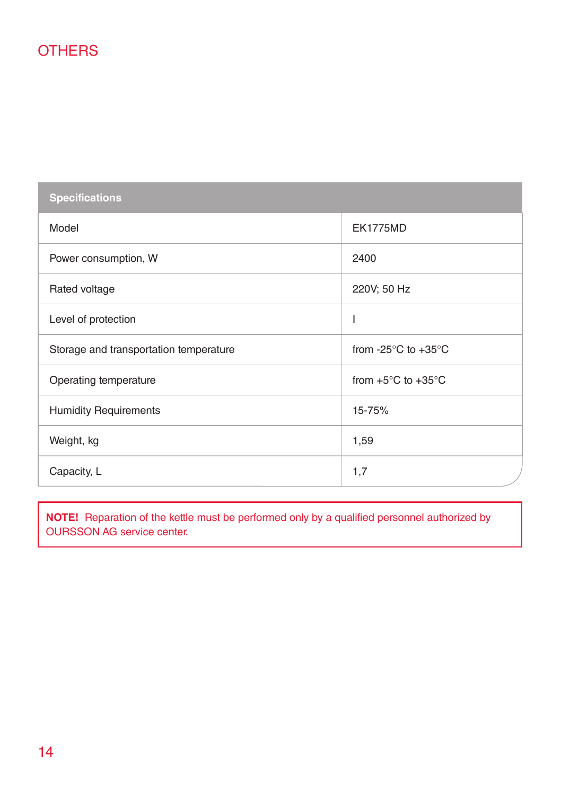**Specifications** Model EK1775MD Power consumption, W 2400 Rated voltage 220V; 50 Hz Level of protection in the set of protection in the set of  $\Box$ Storage and transportation temperature from -25°C to +35°C Operating temperature from +5°C to +35°C Humidity Requirements 15-75% Weight, kg 1,59 Capacity, L 1,7

**NOTE!** Reparation of the kettle must be performed only by a qualified personnel authorized by OURSSON AG service center.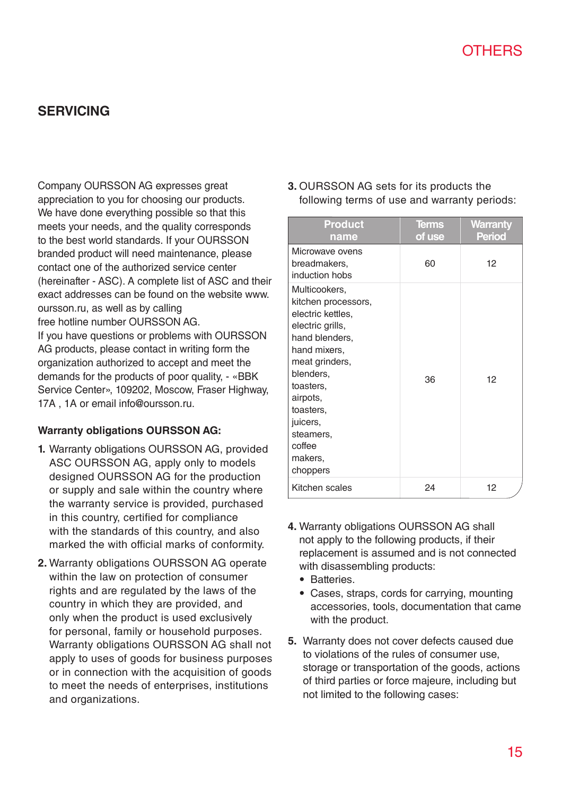### **SERVICING**

Company OURSSON AG expresses great appreciation to you for choosing our products. We have done everything possible so that this meets your needs, and the quality corresponds to the best world standards. If your OURSSON branded product will need maintenance, please contact one of the authorized service center (hereinafter - ASC). A complete list of ASC and their exact addresses can be found on the website www. oursson.ru, as well as by calling free hotline number OURSSON AG. If you have questions or problems with OURSSON AG products, please contact in writing form the organization authorized to accept and meet the demands for the products of poor quality, - «BBK Service Center», 109202, Moscow, Fraser Highway, 17A , 1A or email info@oursson.ru.

### **Warranty obligations OURSSON AG:**

- **1.** Warranty obligations OURSSON AG, provided ASC OURSSON AG, apply only to models designed OURSSON AG for the production or supply and sale within the country where the warranty service is provided, purchased in this country, certified for compliance with the standards of this country, and also marked the with official marks of conformity.
- **2.** Warranty obligations OURSSON AG operate within the law on protection of consumer rights and are regulated by the laws of the country in which they are provided, and only when the product is used exclusively for personal, family or household purposes. Warranty obligations OURSSON AG shall not apply to uses of goods for business purposes or in connection with the acquisition of goods to meet the needs of enterprises, institutions and organizations.

**3.** OURSSON AG sets for its products the following terms of use and warranty periods:

| <b>Product</b><br>name                                                                                                                                                                                                                         | Terms<br>of use | Warranty<br>Period |
|------------------------------------------------------------------------------------------------------------------------------------------------------------------------------------------------------------------------------------------------|-----------------|--------------------|
| Microwave ovens<br>breadmakers,<br>induction hobs                                                                                                                                                                                              | 60              | 12                 |
| Multicookers,<br>kitchen processors,<br>electric kettles,<br>electric grills,<br>hand blenders,<br>hand mixers,<br>meat grinders,<br>blenders,<br>toasters,<br>airpots,<br>toasters,<br>juicers,<br>steamers,<br>coffee<br>makers,<br>choppers | 36              | 12                 |
| Kitchen scales                                                                                                                                                                                                                                 | 24              | 12                 |

- **4.** Warranty obligations OURSSON AG shall not apply to the following products, if their replacement is assumed and is not connected with disassembling products:
	- Batteries.
	- Cases, straps, cords for carrying, mounting accessories, tools, documentation that came with the product.
- **5.** Warranty does not cover defects caused due to violations of the rules of consumer use, storage or transportation of the goods, actions of third parties or force majeure, including but not limited to the following cases: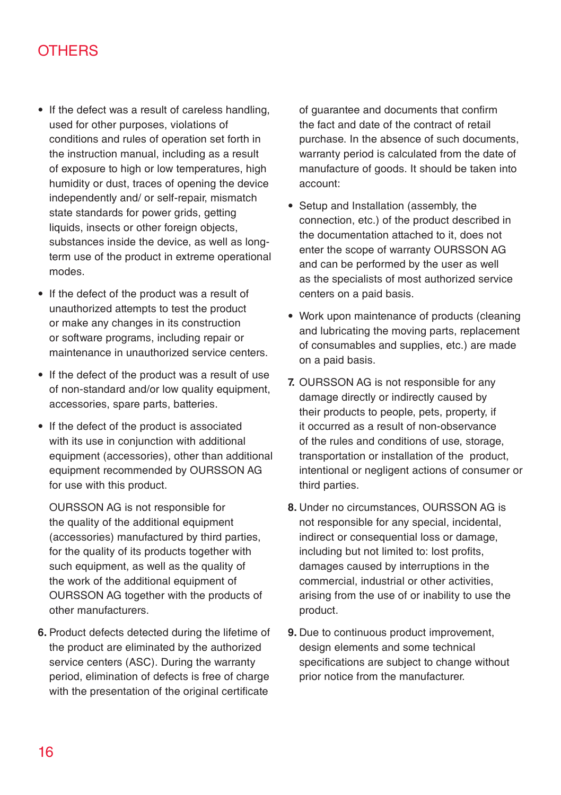- If the defect was a result of careless handling, used for other purposes, violations of conditions and rules of operation set forth in the instruction manual, including as a result of exposure to high or low temperatures, high humidity or dust, traces of opening the device independently and/ or self-repair, mismatch state standards for power grids, getting liquids, insects or other foreign objects, substances inside the device, as well as longterm use of the product in extreme operational modes.
- If the defect of the product was a result of unauthorized attempts to test the product or make any changes in its construction or software programs, including repair or maintenance in unauthorized service centers.
- If the defect of the product was a result of use of non-standard and/or low quality equipment, accessories, spare parts, batteries.
- If the defect of the product is associated with its use in conjunction with additional equipment (accessories), other than additional equipment recommended by OURSSON AG for use with this product.

OURSSON AG is not responsible for the quality of the additional equipment (accessories) manufactured by third parties, for the quality of its products together with such equipment, as well as the quality of the work of the additional equipment of OURSSON AG together with the products of other manufacturers.

**6.** Product defects detected during the lifetime of the product are eliminated by the authorized service centers (ASC). During the warranty period, elimination of defects is free of charge with the presentation of the original certificate

of guarantee and documents that confirm the fact and date of the contract of retail purchase. In the absence of such documents, warranty period is calculated from the date of manufacture of goods. It should be taken into account:

- Setup and Installation (assembly, the connection, etc.) of the product described in the documentation attached to it, does not enter the scope of warranty OURSSON AG and can be performed by the user as well as the specialists of most authorized service centers on a paid basis.
- Work upon maintenance of products (cleaning and lubricating the moving parts, replacement of consumables and supplies, etc.) are made on a paid basis.
- **7.** OURSSON AG is not responsible for any damage directly or indirectly caused by their products to people, pets, property, if it occurred as a result of non-observance of the rules and conditions of use, storage, transportation or installation of the product, intentional or negligent actions of consumer or third parties.
- **8.** Under no circumstances, OURSSON AG is not responsible for any special, incidental, indirect or consequential loss or damage, including but not limited to: lost profits, damages caused by interruptions in the commercial, industrial or other activities, arising from the use of or inability to use the product.
- **9.** Due to continuous product improvement, design elements and some technical specifications are subject to change without prior notice from the manufacturer.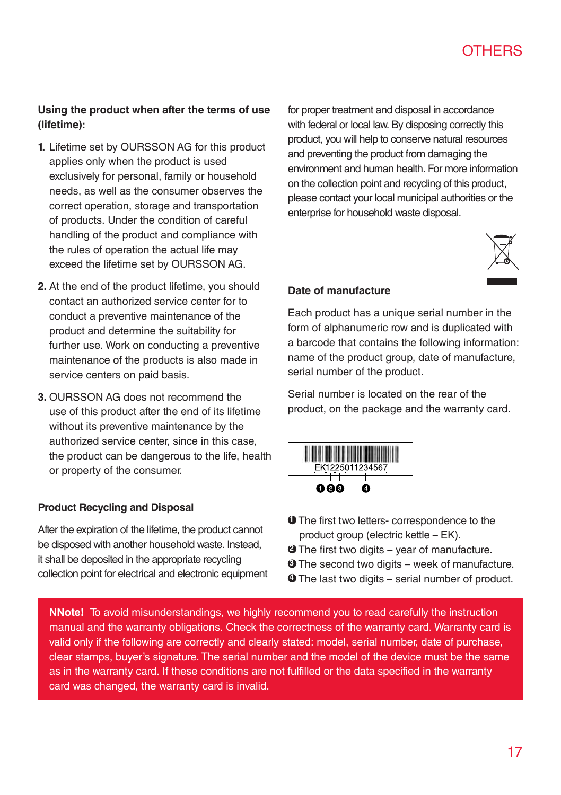### **Using the product when after the terms of use (lifetime):**

- **1.** Lifetime set by OURSSON AG for this product applies only when the product is used exclusively for personal, family or household needs, as well as the consumer observes the correct operation, storage and transportation of products. Under the condition of careful handling of the product and compliance with the rules of operation the actual life may exceed the lifetime set by OURSSON AG.
- **2.** At the end of the product lifetime, you should contact an authorized service center for to conduct a preventive maintenance of the product and determine the suitability for further use. Work on conducting a preventive maintenance of the products is also made in service centers on paid basis.
- **3.** OURSSON AG does not recommend the use of this product after the end of its lifetime without its preventive maintenance by the authorized service center, since in this case, the product can be dangerous to the life, health or property of the consumer.

### **Product Recycling and Disposal**

After the expiration of the lifetime, the product cannot be disposed with another household waste. Instead, it shall be deposited in the appropriate recycling collection point for electrical and electronic equipment for proper treatment and disposal in accordance with federal or local law. By disposing correctly this product, you will help to conserve natural resources and preventing the product from damaging the environment and human health. For more information on the collection point and recycling of this product, please contact your local municipal authorities or the enterprise for household waste disposal.



### **Date of manufacture**

Each product has a unique serial number in the form of alphanumeric row and is duplicated with a barcode that contains the following information: name of the product group, date of manufacture, serial number of the product.

Serial number is located on the rear of the product, on the package and the warranty card.



- **1** The first two letters- correspondence to the product group (electric kettle – EK).
- **2** The first two digits year of manufacture.
- **3** The second two digits week of manufacture.
- **4** The last two digits serial number of product.

**NNote!** To avoid misunderstandings, we highly recommend you to read carefully the instruction manual and the warranty obligations. Check the correctness of the warranty card. Warranty card is valid only if the following are correctly and clearly stated: model, serial number, date of purchase, clear stamps, buyer's signature. The serial number and the model of the device must be the same as in the warranty card. If these conditions are not fulfilled or the data specified in the warranty card was changed, the warranty card is invalid.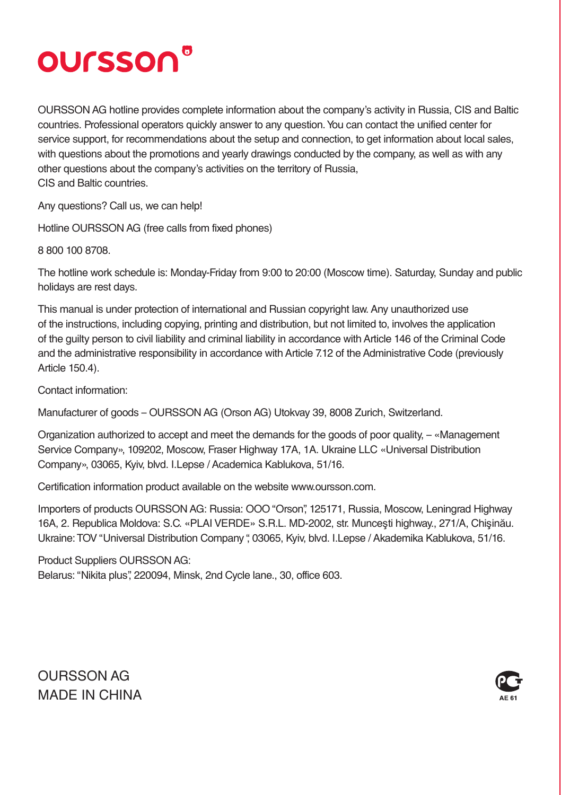# oursson®

OURSSON AG hotline provides complete information about the company's activity in Russia, CIS and Baltic countries. Professional operators quickly answer to any question. You can contact the unified center for service support, for recommendations about the setup and connection, to get information about local sales, with questions about the promotions and yearly drawings conducted by the company, as well as with any other questions about the company's activities on the territory of Russia, CIS and Baltic countries.

Any questions? Call us, we can help!

Hotline OURSSON AG (free calls from fixed phones)

8 800 100 8708.

The hotline work schedule is: Monday-Friday from 9:00 to 20:00 (Moscow time). Saturday, Sunday and public holidays are rest days.

This manual is under protection of international and Russian copyright law. Any unauthorized use of the instructions, including copying, printing and distribution, but not limited to, involves the application of the guilty person to civil liability and criminal liability in accordance with Article 146 of the Criminal Code and the administrative responsibility in accordance with Article 7.12 of the Administrative Code (previously Article 150.4).

Contact information:

Manufacturer of goods – OURSSON AG (Orson AG) Utokvay 39, 8008 Zurich, Switzerland.

Organization authorized to accept and meet the demands for the goods of poor quality, – «Management Service Company», 109202, Moscow, Fraser Highway 17A, 1A. Ukraine LLC «Universal Distribution Company», 03065, Kyiv, blvd. I.Lepse / Academica Kablukova, 51/16.

Certification information product available on the website www.oursson.com.

Importers of products OURSSON AG: Russia: OOO "Orson", 125171, Russia, Moscow, Leningrad Highway 16A, 2. Republica Moldova: S.C. «PLAI VERDE» S.R.L. MD-2002, str. Munceşti highway., 271/A, Chişinău. Ukraine: TO V "Universal Distribution Company ", 03065, Kyiv, blvd. І.Lepse / Akademіka Kablukova, 51/16.

Product Suppliers OURSSON AG: Belarus: "Nikita plus", 220094, Minsk, 2nd Cycle lane., 30, office 603.

OURSSON AG MADE IN CHINA